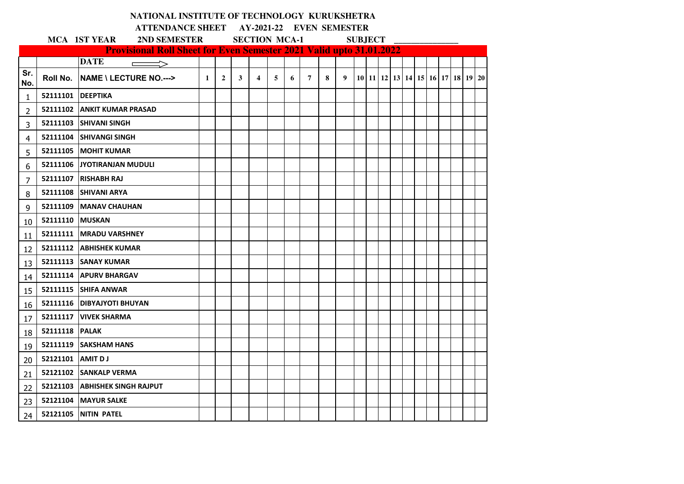|                |                   | NATIONAL INSTITUTE OF TECHNOLOGY KURUKSHETRA                               |              |                |   |                                                  |   |   |                |   |   |                |  |  |  |                                  |  |  |  |
|----------------|-------------------|----------------------------------------------------------------------------|--------------|----------------|---|--------------------------------------------------|---|---|----------------|---|---|----------------|--|--|--|----------------------------------|--|--|--|
|                |                   |                                                                            |              |                |   | <b>ATTENDANCE SHEET AY-2021-22 EVEN SEMESTER</b> |   |   |                |   |   |                |  |  |  |                                  |  |  |  |
|                |                   | MCA 1ST YEAR<br>2ND SEMESTER                                               |              |                |   | <b>SECTION MCA-1</b>                             |   |   |                |   |   | <b>SUBJECT</b> |  |  |  |                                  |  |  |  |
|                |                   | <b>Provisional Roll Sheet for Even Semester 2021 Valid upto 31.01.2022</b> |              |                |   |                                                  |   |   |                |   |   |                |  |  |  |                                  |  |  |  |
| Sr.            |                   | <b>DATE</b><br>$\implies$                                                  |              |                |   |                                                  |   |   |                |   |   |                |  |  |  |                                  |  |  |  |
| No.            | Roll No.          | <b>NAME \ LECTURE NO.---&gt;</b>                                           | $\mathbf{1}$ | $\overline{2}$ | 3 | $\overline{4}$                                   | 5 | 6 | $\overline{7}$ | 8 | 9 |                |  |  |  | 10 11 12 13 14 15 16 17 18 19 20 |  |  |  |
| $\mathbf{1}$   | 52111101 DEEPTIKA |                                                                            |              |                |   |                                                  |   |   |                |   |   |                |  |  |  |                                  |  |  |  |
| $\overline{2}$ |                   | 52111102 ANKIT KUMAR PRASAD                                                |              |                |   |                                                  |   |   |                |   |   |                |  |  |  |                                  |  |  |  |
| 3              |                   | 52111103 SHIVANI SINGH                                                     |              |                |   |                                                  |   |   |                |   |   |                |  |  |  |                                  |  |  |  |
| 4              |                   | 52111104 SHIVANGI SINGH                                                    |              |                |   |                                                  |   |   |                |   |   |                |  |  |  |                                  |  |  |  |
| 5              |                   | 52111105 MOHIT KUMAR                                                       |              |                |   |                                                  |   |   |                |   |   |                |  |  |  |                                  |  |  |  |
| 6              |                   | 52111106 JYOTIRANJAN MUDULI                                                |              |                |   |                                                  |   |   |                |   |   |                |  |  |  |                                  |  |  |  |
| 7              |                   | 52111107 RISHABH RAJ                                                       |              |                |   |                                                  |   |   |                |   |   |                |  |  |  |                                  |  |  |  |
| 8              |                   | 52111108 SHIVANI ARYA                                                      |              |                |   |                                                  |   |   |                |   |   |                |  |  |  |                                  |  |  |  |
| 9              |                   | 52111109   MANAV CHAUHAN                                                   |              |                |   |                                                  |   |   |                |   |   |                |  |  |  |                                  |  |  |  |
| 10             | 52111110 MUSKAN   |                                                                            |              |                |   |                                                  |   |   |                |   |   |                |  |  |  |                                  |  |  |  |
| 11             |                   | 52111111   MRADU VARSHNEY                                                  |              |                |   |                                                  |   |   |                |   |   |                |  |  |  |                                  |  |  |  |
| 12             |                   | 52111112 ABHISHEK KUMAR                                                    |              |                |   |                                                  |   |   |                |   |   |                |  |  |  |                                  |  |  |  |
| 13             |                   | 52111113 SANAY KUMAR                                                       |              |                |   |                                                  |   |   |                |   |   |                |  |  |  |                                  |  |  |  |
| 14             |                   | 52111114 APURV BHARGAV                                                     |              |                |   |                                                  |   |   |                |   |   |                |  |  |  |                                  |  |  |  |
| 15             |                   | 52111115 SHIFA ANWAR                                                       |              |                |   |                                                  |   |   |                |   |   |                |  |  |  |                                  |  |  |  |
| 16             |                   | 52111116   DIBYAJYOTI BHUYAN                                               |              |                |   |                                                  |   |   |                |   |   |                |  |  |  |                                  |  |  |  |
| 17             |                   | 52111117   VIVEK SHARMA                                                    |              |                |   |                                                  |   |   |                |   |   |                |  |  |  |                                  |  |  |  |
| 18             | 52111118 PALAK    |                                                                            |              |                |   |                                                  |   |   |                |   |   |                |  |  |  |                                  |  |  |  |
| 19             |                   | 52111119 SAKSHAM HANS                                                      |              |                |   |                                                  |   |   |                |   |   |                |  |  |  |                                  |  |  |  |
| 20             | 52121101 AMIT DJ  |                                                                            |              |                |   |                                                  |   |   |                |   |   |                |  |  |  |                                  |  |  |  |
| 21             |                   | 52121102 SANKALP VERMA                                                     |              |                |   |                                                  |   |   |                |   |   |                |  |  |  |                                  |  |  |  |
| 22             |                   | 52121103 ABHISHEK SINGH RAJPUT                                             |              |                |   |                                                  |   |   |                |   |   |                |  |  |  |                                  |  |  |  |
| 23             |                   | 52121104 MAYUR SALKE                                                       |              |                |   |                                                  |   |   |                |   |   |                |  |  |  |                                  |  |  |  |
| 24             |                   | 52121105 NITIN PATEL                                                       |              |                |   |                                                  |   |   |                |   |   |                |  |  |  |                                  |  |  |  |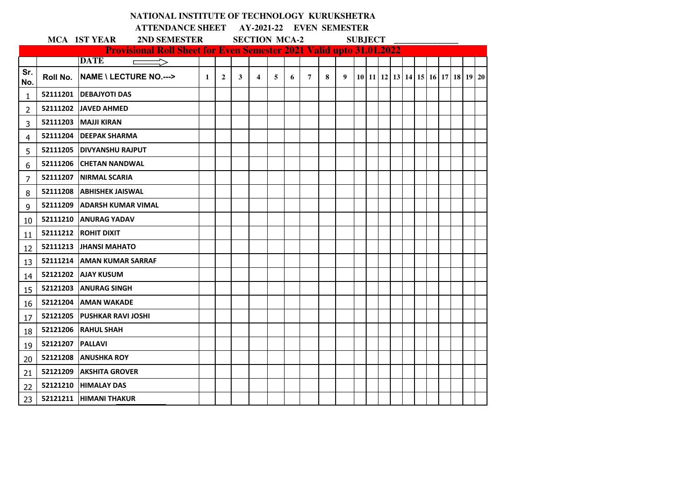|                                                                                                            |                    | NATIONAL INSTITUTE OF TECHNOLOGY KURUKSHETRA                                              |              |                |   |   |   |   |                |   |   |  |  |  |  |  |  |                                                      |  |
|------------------------------------------------------------------------------------------------------------|--------------------|-------------------------------------------------------------------------------------------|--------------|----------------|---|---|---|---|----------------|---|---|--|--|--|--|--|--|------------------------------------------------------|--|
| ATTENDANCE SHEET AY-2021-22 EVEN SEMESTER<br><b>MCA 1ST YEAR</b><br><b>SECTION MCA-2</b><br><b>SUBJECT</b> |                    |                                                                                           |              |                |   |   |   |   |                |   |   |  |  |  |  |  |  |                                                      |  |
|                                                                                                            |                    | 2ND SEMESTER                                                                              |              |                |   |   |   |   |                |   |   |  |  |  |  |  |  |                                                      |  |
|                                                                                                            |                    | <b>Provisional Roll Sheet for Even Semester 2021 Valid upto 31.01.2022</b><br><b>DATE</b> |              |                |   |   |   |   |                |   |   |  |  |  |  |  |  |                                                      |  |
| Sr.                                                                                                        |                    | ┍                                                                                         |              |                |   |   |   |   |                |   |   |  |  |  |  |  |  |                                                      |  |
| No.                                                                                                        | Roll No.           | NAME \ LECTURE NO.--->                                                                    | $\mathbf{1}$ | $\overline{2}$ | 3 | 4 | 5 | 6 | $\overline{7}$ | 8 | 9 |  |  |  |  |  |  | 10   11   12   13   14   15   16   17   18   19   20 |  |
| 1                                                                                                          |                    | 52111201   DEBAJYOTI DAS                                                                  |              |                |   |   |   |   |                |   |   |  |  |  |  |  |  |                                                      |  |
| 2                                                                                                          |                    | 52111202 JAVED AHMED                                                                      |              |                |   |   |   |   |                |   |   |  |  |  |  |  |  |                                                      |  |
| 3                                                                                                          |                    | 52111203 MAJJI KIRAN                                                                      |              |                |   |   |   |   |                |   |   |  |  |  |  |  |  |                                                      |  |
| 4                                                                                                          |                    | 52111204   DEEPAK SHARMA                                                                  |              |                |   |   |   |   |                |   |   |  |  |  |  |  |  |                                                      |  |
| 5                                                                                                          |                    | 52111205 DIVYANSHU RAJPUT                                                                 |              |                |   |   |   |   |                |   |   |  |  |  |  |  |  |                                                      |  |
| 6                                                                                                          |                    | 52111206 CHETAN NANDWAL                                                                   |              |                |   |   |   |   |                |   |   |  |  |  |  |  |  |                                                      |  |
| 7                                                                                                          |                    | 52111207   NIRMAL SCARIA                                                                  |              |                |   |   |   |   |                |   |   |  |  |  |  |  |  |                                                      |  |
| 8                                                                                                          |                    | 52111208 ABHISHEK JAISWAL                                                                 |              |                |   |   |   |   |                |   |   |  |  |  |  |  |  |                                                      |  |
| 9                                                                                                          | 52111209           | <b>ADARSH KUMAR VIMAL</b>                                                                 |              |                |   |   |   |   |                |   |   |  |  |  |  |  |  |                                                      |  |
| 10                                                                                                         | 52111210           | <b>JANURAG YADAV</b>                                                                      |              |                |   |   |   |   |                |   |   |  |  |  |  |  |  |                                                      |  |
| 11                                                                                                         |                    | 52111212 ROHIT DIXIT                                                                      |              |                |   |   |   |   |                |   |   |  |  |  |  |  |  |                                                      |  |
| 12                                                                                                         |                    | 52111213 JHANSI MAHATO                                                                    |              |                |   |   |   |   |                |   |   |  |  |  |  |  |  |                                                      |  |
| 13                                                                                                         |                    | 52111214 AMAN KUMAR SARRAF                                                                |              |                |   |   |   |   |                |   |   |  |  |  |  |  |  |                                                      |  |
| 14                                                                                                         |                    | 52121202 AJAY KUSUM                                                                       |              |                |   |   |   |   |                |   |   |  |  |  |  |  |  |                                                      |  |
| 15                                                                                                         |                    | 52121203 ANURAG SINGH                                                                     |              |                |   |   |   |   |                |   |   |  |  |  |  |  |  |                                                      |  |
| 16                                                                                                         | 52121204           | <b>AMAN WAKADE</b>                                                                        |              |                |   |   |   |   |                |   |   |  |  |  |  |  |  |                                                      |  |
| 17                                                                                                         |                    | 52121205 PUSHKAR RAVI JOSHI                                                               |              |                |   |   |   |   |                |   |   |  |  |  |  |  |  |                                                      |  |
| 18                                                                                                         |                    | 52121206 RAHUL SHAH                                                                       |              |                |   |   |   |   |                |   |   |  |  |  |  |  |  |                                                      |  |
| 19                                                                                                         | 52121207   PALLAVI |                                                                                           |              |                |   |   |   |   |                |   |   |  |  |  |  |  |  |                                                      |  |
| 20                                                                                                         | 52121208           | <b>ANUSHKA ROY</b>                                                                        |              |                |   |   |   |   |                |   |   |  |  |  |  |  |  |                                                      |  |
| 21                                                                                                         | 52121209           | <b>AKSHITA GROVER</b>                                                                     |              |                |   |   |   |   |                |   |   |  |  |  |  |  |  |                                                      |  |
| 22                                                                                                         |                    | 52121210 HIMALAY DAS                                                                      |              |                |   |   |   |   |                |   |   |  |  |  |  |  |  |                                                      |  |
| 23                                                                                                         |                    | 52121211 HIMANI THAKUR                                                                    |              |                |   |   |   |   |                |   |   |  |  |  |  |  |  |                                                      |  |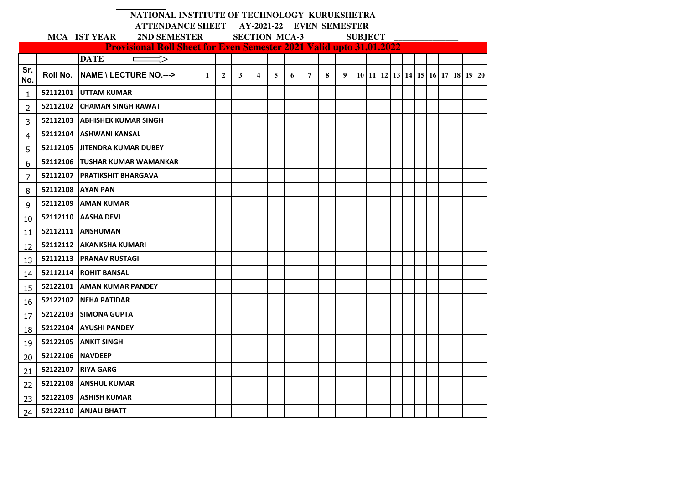|            |                  | NATIONAL INSTITUTE OF TECHNOLOGY KURUKSHETRA                                                            |              |   |                                                             |   |   |   |                |   |   |  |  |  |  |  |  |                                                      |  |  |  |
|------------|------------------|---------------------------------------------------------------------------------------------------------|--------------|---|-------------------------------------------------------------|---|---|---|----------------|---|---|--|--|--|--|--|--|------------------------------------------------------|--|--|--|
|            |                  |                                                                                                         |              |   | ATTENDANCE SHEET AY-2021-22 EVEN SEMESTER<br><b>SUBJECT</b> |   |   |   |                |   |   |  |  |  |  |  |  |                                                      |  |  |  |
|            |                  | MCA 1ST YEAR 2ND SEMESTER SECTION MCA-3                                                                 |              |   |                                                             |   |   |   |                |   |   |  |  |  |  |  |  |                                                      |  |  |  |
|            |                  | <b>Provisional Roll Sheet for Even Semester 2021 Valid upto 31.01.2022</b><br><b>DATE</b><br>$\implies$ |              |   |                                                             |   |   |   |                |   |   |  |  |  |  |  |  |                                                      |  |  |  |
| Sr.<br>No. | Roll No.         | <b>NAME \ LECTURE NO.---&gt;</b>                                                                        | $\mathbf{1}$ | 2 | 3                                                           | 4 | 5 | 6 | $\overline{7}$ | 8 | 9 |  |  |  |  |  |  | 10   11   12   13   14   15   16   17   18   19   20 |  |  |  |
| 1          |                  | 52112101 UTTAM KUMAR                                                                                    |              |   |                                                             |   |   |   |                |   |   |  |  |  |  |  |  |                                                      |  |  |  |
| 2          |                  | 52112102 CHAMAN SINGH RAWAT                                                                             |              |   |                                                             |   |   |   |                |   |   |  |  |  |  |  |  |                                                      |  |  |  |
| 3          |                  | 52112103 ABHISHEK KUMAR SINGH                                                                           |              |   |                                                             |   |   |   |                |   |   |  |  |  |  |  |  |                                                      |  |  |  |
| 4          |                  | 52112104 ASHWANI KANSAL                                                                                 |              |   |                                                             |   |   |   |                |   |   |  |  |  |  |  |  |                                                      |  |  |  |
| 5          |                  | 52112105 JJITENDRA KUMAR DUBEY                                                                          |              |   |                                                             |   |   |   |                |   |   |  |  |  |  |  |  |                                                      |  |  |  |
| 6          |                  | 52112106 TUSHAR KUMAR WAMANKAR                                                                          |              |   |                                                             |   |   |   |                |   |   |  |  |  |  |  |  |                                                      |  |  |  |
| 7          |                  | 52112107 PRATIKSHIT BHARGAVA                                                                            |              |   |                                                             |   |   |   |                |   |   |  |  |  |  |  |  |                                                      |  |  |  |
| 8          |                  | 52112108 AYAN PAN                                                                                       |              |   |                                                             |   |   |   |                |   |   |  |  |  |  |  |  |                                                      |  |  |  |
| 9          |                  | 52112109 AMAN KUMAR                                                                                     |              |   |                                                             |   |   |   |                |   |   |  |  |  |  |  |  |                                                      |  |  |  |
| 10         | 52112110         | <b>JAASHA DEVI</b>                                                                                      |              |   |                                                             |   |   |   |                |   |   |  |  |  |  |  |  |                                                      |  |  |  |
| 11         |                  | 52112111 ANSHUMAN                                                                                       |              |   |                                                             |   |   |   |                |   |   |  |  |  |  |  |  |                                                      |  |  |  |
| 12         |                  | 52112112   AKANKSHA KUMARI                                                                              |              |   |                                                             |   |   |   |                |   |   |  |  |  |  |  |  |                                                      |  |  |  |
| 13         |                  | 52112113   PRANAV RUSTAGI                                                                               |              |   |                                                             |   |   |   |                |   |   |  |  |  |  |  |  |                                                      |  |  |  |
| 14         |                  | 52112114 ROHIT BANSAL                                                                                   |              |   |                                                             |   |   |   |                |   |   |  |  |  |  |  |  |                                                      |  |  |  |
| 15         |                  | 52122101 AMAN KUMAR PANDEY                                                                              |              |   |                                                             |   |   |   |                |   |   |  |  |  |  |  |  |                                                      |  |  |  |
| 16         |                  | 52122102 NEHA PATIDAR                                                                                   |              |   |                                                             |   |   |   |                |   |   |  |  |  |  |  |  |                                                      |  |  |  |
| 17         |                  | 52122103 SIMONA GUPTA                                                                                   |              |   |                                                             |   |   |   |                |   |   |  |  |  |  |  |  |                                                      |  |  |  |
| 18         | 52122104         | <b>AYUSHI PANDEY</b>                                                                                    |              |   |                                                             |   |   |   |                |   |   |  |  |  |  |  |  |                                                      |  |  |  |
| 19         | 52122105         | <b>ANKIT SINGH</b>                                                                                      |              |   |                                                             |   |   |   |                |   |   |  |  |  |  |  |  |                                                      |  |  |  |
| 20         | 52122106 NAVDEEP |                                                                                                         |              |   |                                                             |   |   |   |                |   |   |  |  |  |  |  |  |                                                      |  |  |  |
| 21         |                  | 52122107   RIYA GARG                                                                                    |              |   |                                                             |   |   |   |                |   |   |  |  |  |  |  |  |                                                      |  |  |  |
| 22         |                  | 52122108 ANSHUL KUMAR                                                                                   |              |   |                                                             |   |   |   |                |   |   |  |  |  |  |  |  |                                                      |  |  |  |
| 23         | 52122109         | <b>LASHISH KUMAR</b>                                                                                    |              |   |                                                             |   |   |   |                |   |   |  |  |  |  |  |  |                                                      |  |  |  |
| 24         |                  | 52122110 ANJALI BHATT                                                                                   |              |   |                                                             |   |   |   |                |   |   |  |  |  |  |  |  |                                                      |  |  |  |